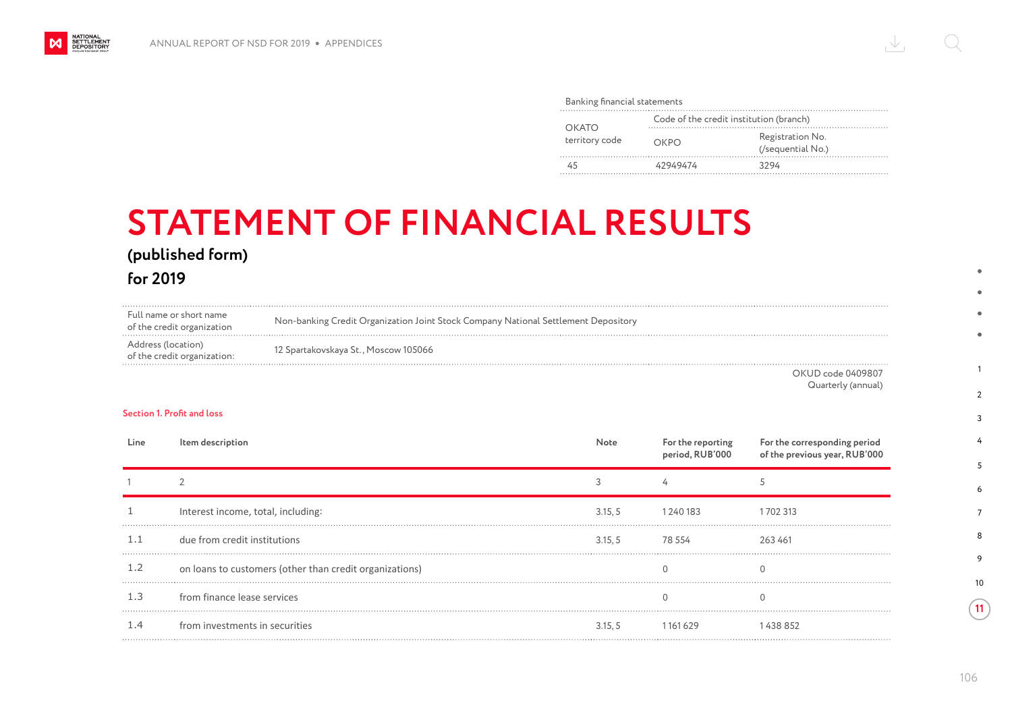#### Banking financial statements

| OKATO<br>territory code | Code of the credit institution (branch) |                                       |  |
|-------------------------|-----------------------------------------|---------------------------------------|--|
|                         | ОКРО                                    | Registration No.<br>(/sequential No.) |  |
|                         | 42949474                                | 3294                                  |  |

# **STATEMENT OF FINANCIAL RESULTS**

## **(published form)**

**for 2019**

NATIONAL<br>SETTLEMENT<br>DEPOSITORY

| Full name or short name<br>of the credit organization | Non-banking Credit Organization Joint Stock Company National Settlement Depository |
|-------------------------------------------------------|------------------------------------------------------------------------------------|
| Address (location)<br>of the credit organization:     | 12 Spartakovskaya St., Moscow 105066                                               |
|                                                       | _ _ _ _ _ _                                                                        |

OKUD code 0409807 Quarterly (annual)

### **Section 1. Profit and loss**

| Line | <b>Item description</b>                                 | Note    | For the reporting<br>period, RUB'000 | For the corresponding period<br>of the previous year, RUB'000 |
|------|---------------------------------------------------------|---------|--------------------------------------|---------------------------------------------------------------|
|      |                                                         |         |                                      |                                                               |
|      | Interest income, total, including:                      | 3.15, 5 | 1 240 183                            | 1 702 313                                                     |
| 1.1  | due from credit institutions                            | 3.15.5  | 78 554                               | 263461                                                        |
| 1.2  | on loans to customers (other than credit organizations) |         |                                      |                                                               |
| 1.3  | from finance lease services                             |         |                                      |                                                               |
| 1.4  | from investments in securities                          | 3.15. 5 | 161 629                              |                                                               |

1

 $\blacksquare$ 

 $\overline{2}$ 3 4

10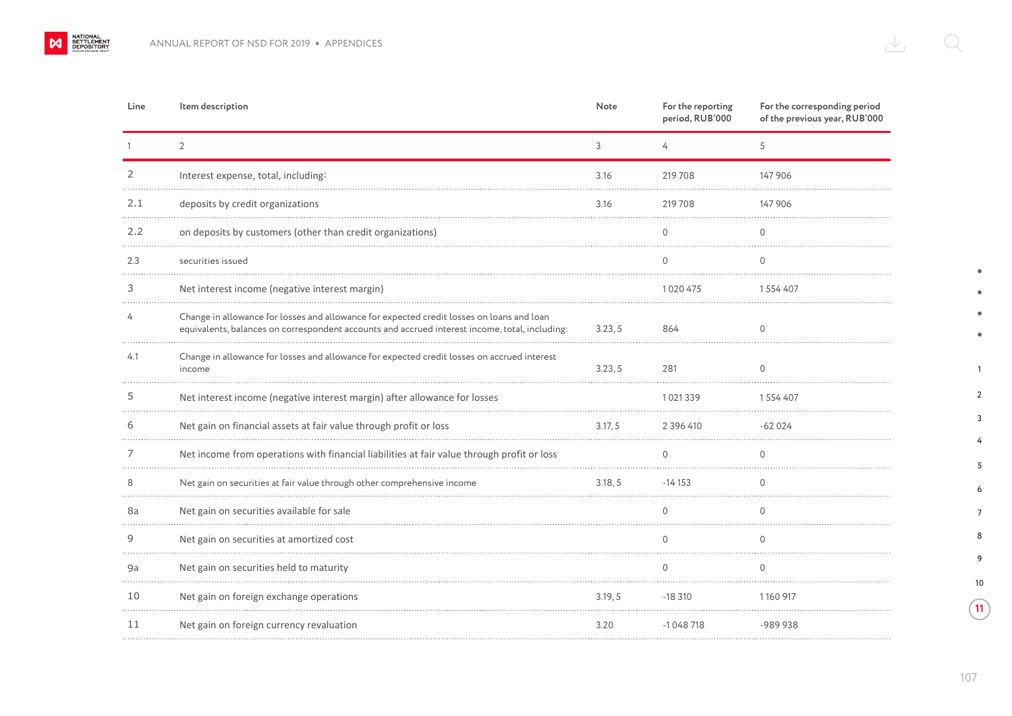$M$ 

| Line | Item description                                                                                                                                                                            | Note    | For the reporting<br>period, RUB'000 | For the corresponding period<br>of the previous year, RUB'000 |
|------|---------------------------------------------------------------------------------------------------------------------------------------------------------------------------------------------|---------|--------------------------------------|---------------------------------------------------------------|
|      | $\overline{2}$                                                                                                                                                                              | 3       | 4                                    | 5                                                             |
| 2    | Interest expense, total, including:                                                                                                                                                         | 3.16    | 219 708                              | 147 906                                                       |
| 2.1  | deposits by credit organizations                                                                                                                                                            | 3.16    | 219 708                              | 147 906                                                       |
| 2.2  | on deposits by customers (other than credit organizations)                                                                                                                                  |         | $\Omega$                             | $\mathbf{0}$                                                  |
| 2.3  | securities issued                                                                                                                                                                           |         | $\Omega$                             | $\mathbf{0}$                                                  |
| 3    | Net interest income (negative interest margin)                                                                                                                                              |         | 1020475                              | 1554407                                                       |
|      | Change in allowance for losses and allowance for expected credit losses on loans and loan<br>equivalents, balances on correspondent accounts and accrued interest income, total, including: | 3.23, 5 | 864                                  | $\mathbf 0$                                                   |
| 4.1  | Change in allowance for losses and allowance for expected credit losses on accrued interest<br>income                                                                                       | 3.23, 5 | 281                                  | $\cap$                                                        |
|      | Net interest income (negative interest margin) after allowance for losses                                                                                                                   |         | 1021339                              | 1554407                                                       |
|      | Net gain on financial assets at fair value through profit or loss                                                                                                                           | 3.17.5  | 2 3 9 6 4 1 0                        | $-62024$                                                      |
|      | Net income from operations with financial liabilities at fair value through profit or loss                                                                                                  |         | $\cap$                               | $\Omega$                                                      |
| 8    | Net gain on securities at fair value through other comprehensive income                                                                                                                     | 3.18.5  | $-14153$                             | $\Omega$                                                      |
| 8a   | Net gain on securities available for sale                                                                                                                                                   |         | $\cap$                               | $\cap$                                                        |
| 9    | Net gain on securities at amortized cost                                                                                                                                                    |         | $\cap$                               | $\cap$                                                        |
| 9a   | Net gain on securities held to maturity                                                                                                                                                     |         | $\cap$                               | $\cap$                                                        |
| 10   | Net gain on foreign exchange operations                                                                                                                                                     | 3.19, 5 | $-18310$                             | 1160917                                                       |
| 11   | Net gain on foreign currency revaluation                                                                                                                                                    | 3.20    | $-1048718$                           | -989938                                                       |

 $\bullet$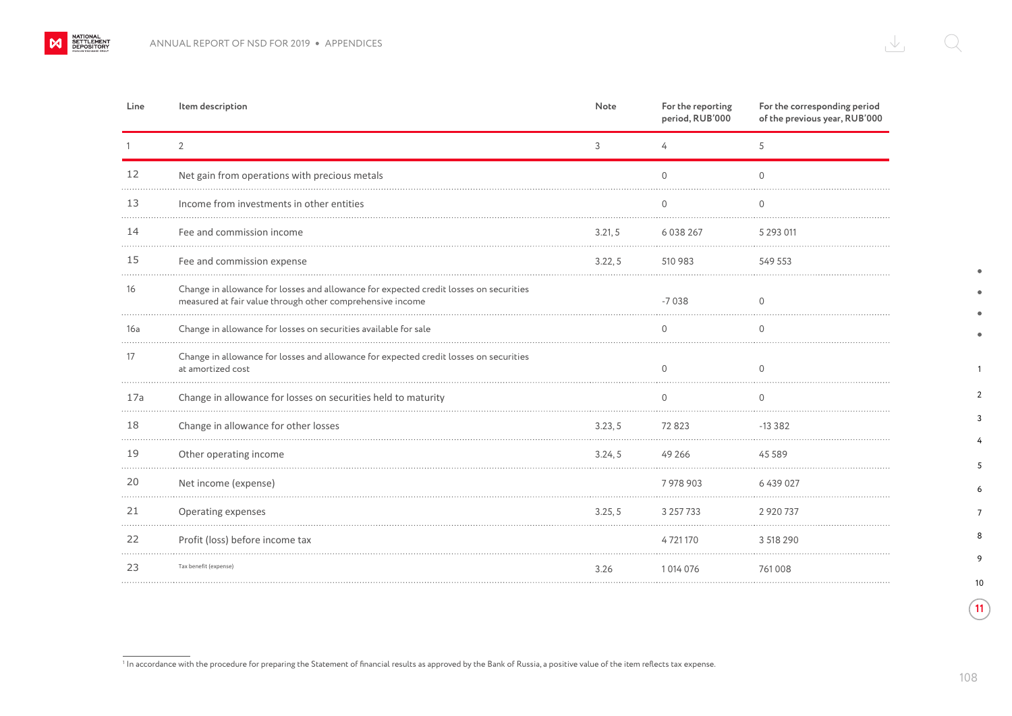$\mathbf{\mathsf{M}}$ 

| Line | Item description                                                                                                                                   | Note    | For the reporting<br>period, RUB'000 | For the corresponding period<br>of the previous year, RUB'000 |
|------|----------------------------------------------------------------------------------------------------------------------------------------------------|---------|--------------------------------------|---------------------------------------------------------------|
|      | $\overline{2}$                                                                                                                                     | 3       | 4                                    | 5                                                             |
| 12   | Net gain from operations with precious metals                                                                                                      |         | $\overline{0}$                       | $\Omega$                                                      |
| 13   | Income from investments in other entities                                                                                                          |         | 0                                    | O                                                             |
| 14   | Fee and commission income                                                                                                                          | 3.21, 5 | 6 0 38 2 6 7                         | 5 2 9 3 0 1 1                                                 |
| 15   | Fee and commission expense                                                                                                                         | 3.22, 5 | 510 983                              | 549 553                                                       |
| 16   | Change in allowance for losses and allowance for expected credit losses on securities<br>measured at fair value through other comprehensive income |         | $-7038$                              | $\Omega$                                                      |
| 16a  | Change in allowance for losses on securities available for sale                                                                                    |         | 0                                    | ∩                                                             |
| 17   | Change in allowance for losses and allowance for expected credit losses on securities<br>at amortized cost                                         |         | $\Omega$                             | $\Omega$                                                      |
| 17a  | Change in allowance for losses on securities held to maturity                                                                                      |         | 0                                    | 0                                                             |
| 18   | Change in allowance for other losses                                                                                                               | 3.23, 5 | 72823                                | $-13382$                                                      |
| 19   | Other operating income                                                                                                                             | 3.24, 5 | 49 26 6                              | 45 5 8 9                                                      |
| 20   | Net income (expense)                                                                                                                               |         | 7978903                              | 6439027                                                       |
| 21   | Operating expenses                                                                                                                                 | 3.25, 5 | 3 2 5 7 7 3 3                        | 2 9 2 0 7 3 7                                                 |
| 22   | Profit (loss) before income tax                                                                                                                    |         | 4721170                              | 3 518 290                                                     |
| 23   | Tax benefit (expense)                                                                                                                              | 3.26    | 1014076                              | 761008                                                        |

In accordance with the procedure for preparing the Statement of financial results as approved by the Bank of Russia, a positive value of the item reflects tax expense.

 $\bullet$ 

 $\bullet$  $\bullet$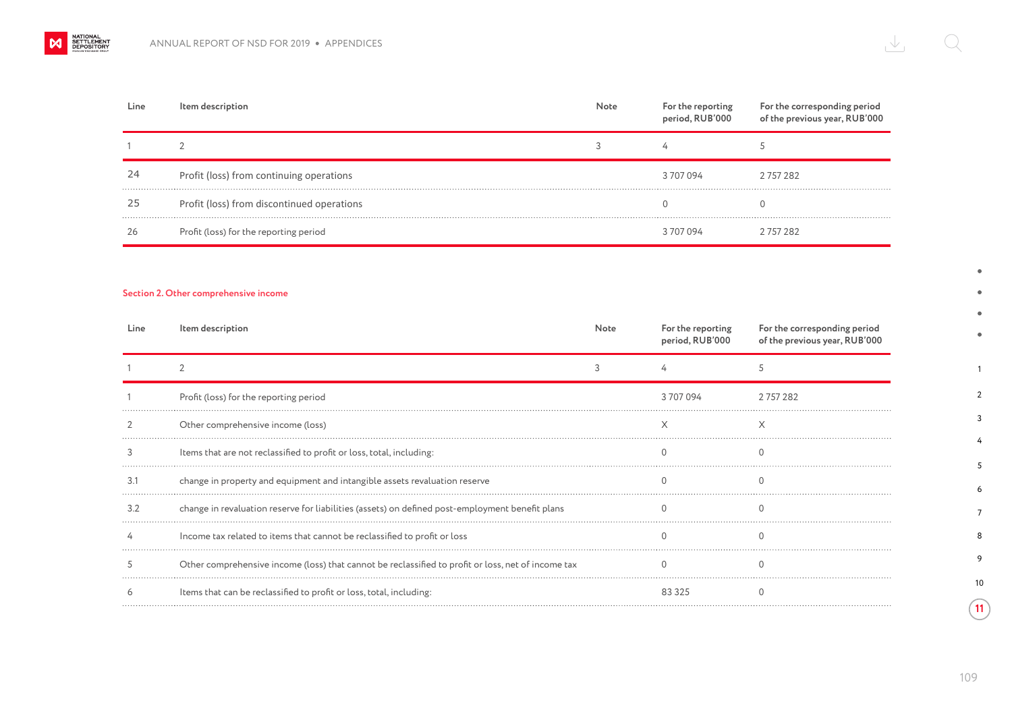| Line | Item description                           | Note | For the reporting<br>period, RUB'000 | For the corresponding period<br>of the previous year, RUB'000 |
|------|--------------------------------------------|------|--------------------------------------|---------------------------------------------------------------|
|      |                                            |      |                                      |                                                               |
| 24   | Profit (loss) from continuing operations   |      | 3707094                              | 2757282                                                       |
| 25   | Profit (loss) from discontinued operations |      |                                      | O                                                             |
| 26   | Profit (loss) for the reporting period     |      | 3707094                              | 2 757 282                                                     |

## **Section 2. Other comprehensive income**

| Line | Item description                                                                                   | Note | For the reporting<br>period, RUB'000 | For the corresponding period<br>of the previous year, RUB'000 |
|------|----------------------------------------------------------------------------------------------------|------|--------------------------------------|---------------------------------------------------------------|
|      |                                                                                                    |      |                                      |                                                               |
|      | Profit (loss) for the reporting period                                                             |      | 3 707 094                            | 2 757 282                                                     |
|      | Other comprehensive income (loss)                                                                  |      |                                      |                                                               |
|      | Items that are not reclassified to profit or loss, total, including:                               |      |                                      |                                                               |
|      | change in property and equipment and intangible assets revaluation reserve                         |      |                                      |                                                               |
| 3.2  | change in revaluation reserve for liabilities (assets) on defined post-employment benefit plans    |      |                                      |                                                               |
|      | Income tax related to items that cannot be reclassified to profit or loss                          |      |                                      |                                                               |
|      | Other comprehensive income (loss) that cannot be reclassified to profit or loss, net of income tax |      |                                      |                                                               |
|      | Items that can be reclassified to profit or loss, total, including:                                |      | 83325                                |                                                               |

1

 $\bullet$ ٠  $\bullet$  $\bullet$ 

2 3 4

10